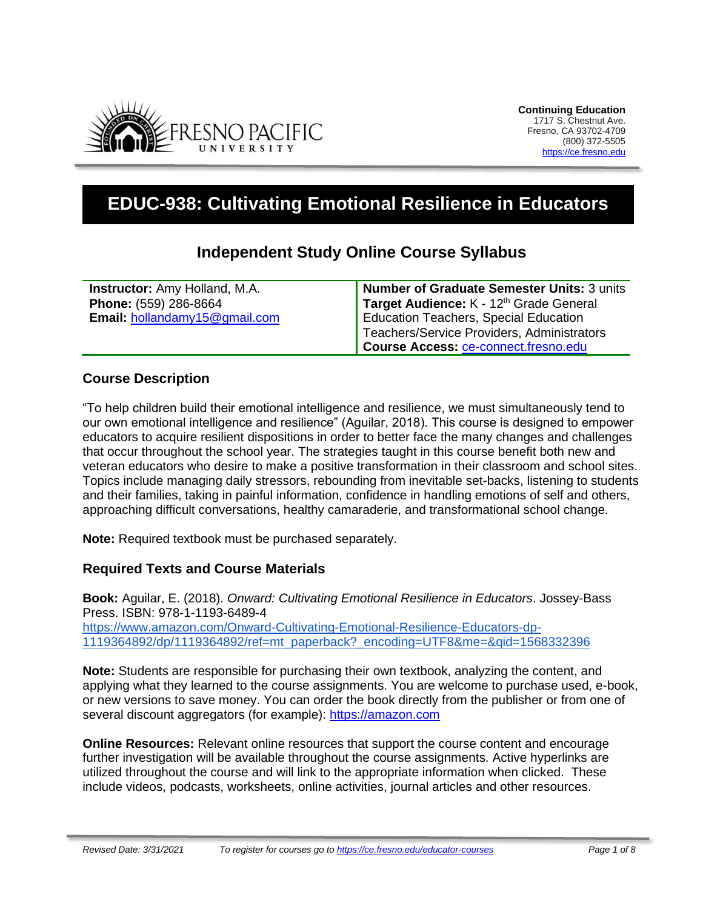

# **EDUC-938: Cultivating Emotional Resilience in Educators**

# **Independent Study Online Course Syllabus**

| <b>Instructor:</b> Amy Holland, M.A. | Number of Graduate Semester Units: 3 units   |
|--------------------------------------|----------------------------------------------|
| Phone: (559) 286-8664                | Target Audience: K - 12th Grade General      |
| Email: hollandamy15@gmail.com        | <b>Education Teachers, Special Education</b> |
|                                      | Teachers/Service Providers, Administrators   |
|                                      | Course Access: ce-connect.fresno.edu         |

## **Course Description**

"To help children build their emotional intelligence and resilience, we must simultaneously tend to our own emotional intelligence and resilience" (Aguilar, 2018). This course is designed to empower educators to acquire resilient dispositions in order to better face the many changes and challenges that occur throughout the school year. The strategies taught in this course benefit both new and veteran educators who desire to make a positive transformation in their classroom and school sites. Topics include managing daily stressors, rebounding from inevitable set-backs, listening to students and their families, taking in painful information, confidence in handling emotions of self and others, approaching difficult conversations, healthy camaraderie, and transformational school change.

**Note:** Required textbook must be purchased separately.

## **Required Texts and Course Materials**

**Book:** Aguilar, E. (2018). *Onward: Cultivating Emotional Resilience in Educators*. Jossey-Bass Press. ISBN: 978-1-1193-6489-4 [https://www.amazon.com/Onward-Cultivating-Emotional-Resilience-Educators-dp-](https://www.amazon.com/Onward-Cultivating-Emotional-Resilience-Educators-dp-1119364892/dp/1119364892/ref=mt_paperback?_encoding=UTF8&me=&qid=1568332396)[1119364892/dp/1119364892/ref=mt\\_paperback?\\_encoding=UTF8&me=&qid=1568332396](https://www.amazon.com/Onward-Cultivating-Emotional-Resilience-Educators-dp-1119364892/dp/1119364892/ref=mt_paperback?_encoding=UTF8&me=&qid=1568332396)

**Note:** Students are responsible for purchasing their own textbook, analyzing the content, and applying what they learned to the course assignments. You are welcome to purchase used, e-book, or new versions to save money. You can order the book directly from the publisher or from one of several discount aggregators (for example): [https://amazon.com](https://amazon.com/)

**Online Resources:** Relevant online resources that support the course content and encourage further investigation will be available throughout the course assignments. Active hyperlinks are utilized throughout the course and will link to the appropriate information when clicked. These include videos, podcasts, worksheets, online activities, journal articles and other resources.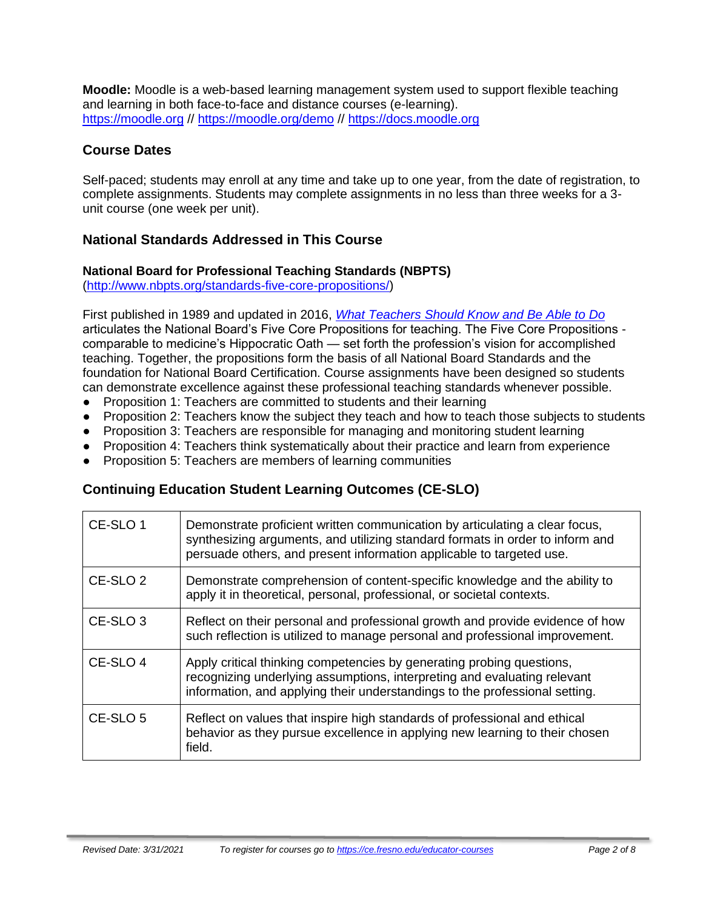**Moodle:** Moodle is a web-based learning management system used to support flexible teaching and learning in both face-to-face and distance courses (e-learning). [https://moodle.org](https://moodle.org/) //<https://moodle.org/demo> // [https://docs.moodle.org](https://docs.moodle.org/)

## **Course Dates**

Self-paced; students may enroll at any time and take up to one year, from the date of registration, to complete assignments. Students may complete assignments in no less than three weeks for a 3 unit course (one week per unit).

# **National Standards Addressed in This Course**

#### **National Board for Professional Teaching Standards (NBPTS)**

[\(http://www.nbpts.org/standards-five-core-propositions/\)](http://www.nbpts.org/standards-five-core-propositions/)

First published in 1989 and updated in 2016, *[What Teachers Should Know and Be Able to Do](http://www.accomplishedteacher.org/)* articulates the National Board's Five Core Propositions for teaching. The Five Core Propositions comparable to medicine's Hippocratic Oath — set forth the profession's vision for accomplished teaching. Together, the propositions form the basis of all National Board Standards and the foundation for National Board Certification. Course assignments have been designed so students can demonstrate excellence against these professional teaching standards whenever possible.

- Proposition 1: Teachers are committed to students and their learning
- Proposition 2: Teachers know the subject they teach and how to teach those subjects to students
- Proposition 3: Teachers are responsible for managing and monitoring student learning
- Proposition 4: Teachers think systematically about their practice and learn from experience
- Proposition 5: Teachers are members of learning communities

# **Continuing Education Student Learning Outcomes (CE-SLO)**

| CE-SLO 1            | Demonstrate proficient written communication by articulating a clear focus,<br>synthesizing arguments, and utilizing standard formats in order to inform and<br>persuade others, and present information applicable to targeted use. |
|---------------------|--------------------------------------------------------------------------------------------------------------------------------------------------------------------------------------------------------------------------------------|
| CE-SLO <sub>2</sub> | Demonstrate comprehension of content-specific knowledge and the ability to<br>apply it in theoretical, personal, professional, or societal contexts.                                                                                 |
| CE-SLO <sub>3</sub> | Reflect on their personal and professional growth and provide evidence of how<br>such reflection is utilized to manage personal and professional improvement.                                                                        |
| CE-SLO 4            | Apply critical thinking competencies by generating probing questions,<br>recognizing underlying assumptions, interpreting and evaluating relevant<br>information, and applying their understandings to the professional setting.     |
| CE-SLO 5            | Reflect on values that inspire high standards of professional and ethical<br>behavior as they pursue excellence in applying new learning to their chosen<br>field.                                                                   |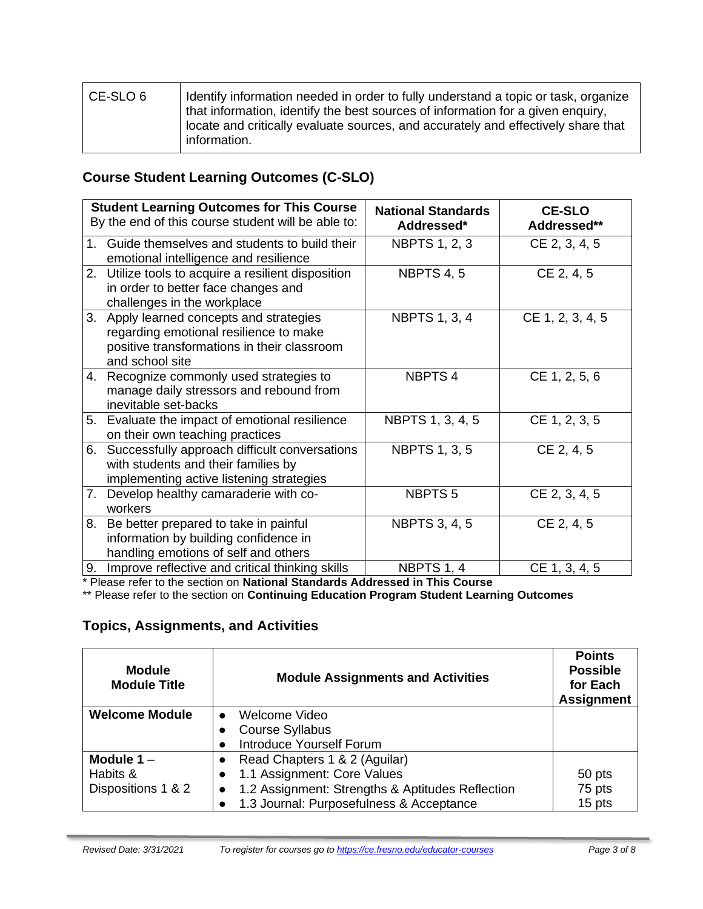| CE-SLO 6 | Identify information needed in order to fully understand a topic or task, organize<br>that information, identify the best sources of information for a given enguiry,<br>locate and critically evaluate sources, and accurately and effectively share that<br>information. |
|----------|----------------------------------------------------------------------------------------------------------------------------------------------------------------------------------------------------------------------------------------------------------------------------|
|----------|----------------------------------------------------------------------------------------------------------------------------------------------------------------------------------------------------------------------------------------------------------------------------|

# **Course Student Learning Outcomes (C-SLO)**

|                | <b>Student Learning Outcomes for This Course</b><br>By the end of this course student will be able to:                                            | <b>National Standards</b><br>Addressed* | <b>CE-SLO</b><br>Addressed** |
|----------------|---------------------------------------------------------------------------------------------------------------------------------------------------|-----------------------------------------|------------------------------|
| 1 <sub>1</sub> | Guide themselves and students to build their<br>emotional intelligence and resilience                                                             | <b>NBPTS 1, 2, 3</b>                    | CE 2, 3, 4, 5                |
| 2.             | Utilize tools to acquire a resilient disposition<br>in order to better face changes and<br>challenges in the workplace                            | NBPTS 4, 5                              | CE 2, 4, 5                   |
| 3.             | Apply learned concepts and strategies<br>regarding emotional resilience to make<br>positive transformations in their classroom<br>and school site | <b>NBPTS 1, 3, 4</b>                    | CE 1, 2, 3, 4, 5             |
|                | 4. Recognize commonly used strategies to<br>manage daily stressors and rebound from<br>inevitable set-backs                                       | <b>NBPTS4</b>                           | CE 1, 2, 5, 6                |
|                | 5. Evaluate the impact of emotional resilience<br>on their own teaching practices                                                                 | NBPTS 1, 3, 4, 5                        | CE 1, 2, 3, 5                |
| 6.             | Successfully approach difficult conversations<br>with students and their families by<br>implementing active listening strategies                  | <b>NBPTS 1, 3, 5</b>                    | CE 2, 4, 5                   |
| 7.             | Develop healthy camaraderie with co-<br>workers                                                                                                   | NBPTS <sub>5</sub>                      | CE 2, 3, 4, 5                |
| 8.             | Be better prepared to take in painful<br>information by building confidence in<br>handling emotions of self and others                            | <b>NBPTS 3, 4, 5</b>                    | CE 2, 4, 5                   |
| 9.             | Improve reflective and critical thinking skills                                                                                                   | NBPTS 1, 4                              | CE 1, 3, 4, 5                |

\* Please refer to the section on **National Standards Addressed in This Course**

\*\* Please refer to the section on **Continuing Education Program Student Learning Outcomes**

## **Topics, Assignments, and Activities**

| <b>Module</b><br><b>Module Title</b> | <b>Module Assignments and Activities</b>         | <b>Points</b><br><b>Possible</b><br>for Each<br><b>Assignment</b> |
|--------------------------------------|--------------------------------------------------|-------------------------------------------------------------------|
| <b>Welcome Module</b>                | Welcome Video<br>$\bullet$                       |                                                                   |
|                                      | <b>Course Syllabus</b>                           |                                                                   |
|                                      | <b>Introduce Yourself Forum</b>                  |                                                                   |
| Module $1 -$                         | Read Chapters 1 & 2 (Aguilar)                    |                                                                   |
| Habits &                             | 1.1 Assignment: Core Values                      | 50 pts                                                            |
| Dispositions 1 & 2                   | 1.2 Assignment: Strengths & Aptitudes Reflection | 75 pts                                                            |
|                                      | 1.3 Journal: Purposefulness & Acceptance         | 15 pts                                                            |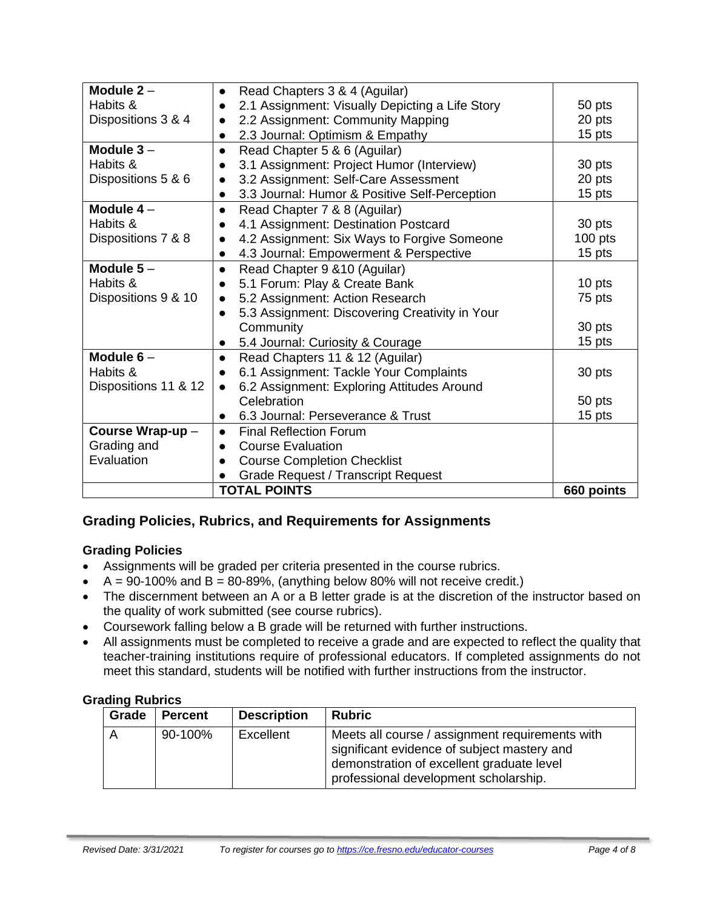| Module $2 -$         | Read Chapters 3 & 4 (Aguilar)<br>$\bullet$      |            |
|----------------------|-------------------------------------------------|------------|
| Habits &             | 2.1 Assignment: Visually Depicting a Life Story | 50 pts     |
| Dispositions 3 & 4   | 2.2 Assignment: Community Mapping<br>20 pts     |            |
|                      | 15 pts<br>2.3 Journal: Optimism & Empathy       |            |
| Module $3 -$         | Read Chapter 5 & 6 (Aguilar)<br>$\bullet$       |            |
| Habits &             | 3.1 Assignment: Project Humor (Interview)       | 30 pts     |
| Dispositions 5 & 6   | 3.2 Assignment: Self-Care Assessment            | 20 pts     |
|                      | 3.3 Journal: Humor & Positive Self-Perception   | 15 pts     |
| Module $4-$          | Read Chapter 7 & 8 (Aguilar)                    |            |
| Habits &             | 4.1 Assignment: Destination Postcard            | 30 pts     |
| Dispositions 7 & 8   | 4.2 Assignment: Six Ways to Forgive Someone     | $100$ pts  |
|                      | 4.3 Journal: Empowerment & Perspective          | 15 pts     |
| Module $5-$          | Read Chapter 9 & 10 (Aguilar)<br>$\bullet$      |            |
| Habits &             | 5.1 Forum: Play & Create Bank                   | 10 pts     |
| Dispositions 9 & 10  | 5.2 Assignment: Action Research                 | 75 pts     |
|                      | 5.3 Assignment: Discovering Creativity in Your  |            |
|                      | Community                                       | 30 pts     |
|                      | 5.4 Journal: Curiosity & Courage                | 15 pts     |
| Module $6-$          | Read Chapters 11 & 12 (Aguilar)                 |            |
| Habits &             | 6.1 Assignment: Tackle Your Complaints          | 30 pts     |
| Dispositions 11 & 12 | 6.2 Assignment: Exploring Attitudes Around      |            |
|                      | Celebration                                     | 50 pts     |
|                      | 6.3 Journal: Perseverance & Trust               | 15 pts     |
| Course Wrap-up-      | <b>Final Reflection Forum</b><br>$\bullet$      |            |
| Grading and          | <b>Course Evaluation</b>                        |            |
| Evaluation           | <b>Course Completion Checklist</b>              |            |
|                      | <b>Grade Request / Transcript Request</b>       |            |
|                      | <b>TOTAL POINTS</b>                             | 660 points |

## **Grading Policies, Rubrics, and Requirements for Assignments**

#### **Grading Policies**

- Assignments will be graded per criteria presented in the course rubrics.
- $A = 90-100\%$  and  $B = 80-89\%$ , (anything below 80% will not receive credit.)
- The discernment between an A or a B letter grade is at the discretion of the instructor based on the quality of work submitted (see course rubrics).
- Coursework falling below a B grade will be returned with further instructions.
- All assignments must be completed to receive a grade and are expected to reflect the quality that teacher-training institutions require of professional educators. If completed assignments do not meet this standard, students will be notified with further instructions from the instructor.

#### **Grading Rubrics**

| Grade | <b>Percent</b> | <b>Description</b> | <b>Rubric</b>                                                                                                                                                                        |
|-------|----------------|--------------------|--------------------------------------------------------------------------------------------------------------------------------------------------------------------------------------|
| A     | 90-100%        | Excellent          | Meets all course / assignment requirements with<br>significant evidence of subject mastery and<br>demonstration of excellent graduate level<br>professional development scholarship. |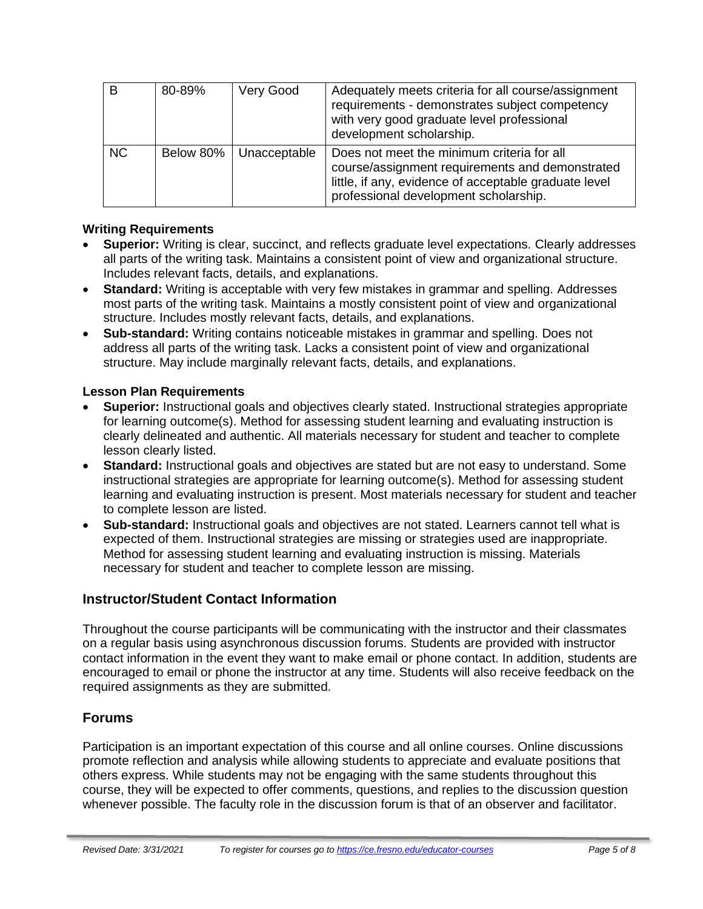| B         | 80-89%    | Very Good    | Adequately meets criteria for all course/assignment<br>requirements - demonstrates subject competency<br>with very good graduate level professional<br>development scholarship.                 |
|-----------|-----------|--------------|-------------------------------------------------------------------------------------------------------------------------------------------------------------------------------------------------|
| <b>NC</b> | Below 80% | Unacceptable | Does not meet the minimum criteria for all<br>course/assignment requirements and demonstrated<br>little, if any, evidence of acceptable graduate level<br>professional development scholarship. |

#### **Writing Requirements**

- **Superior:** Writing is clear, succinct, and reflects graduate level expectations. Clearly addresses all parts of the writing task. Maintains a consistent point of view and organizational structure. Includes relevant facts, details, and explanations.
- **Standard:** Writing is acceptable with very few mistakes in grammar and spelling. Addresses most parts of the writing task. Maintains a mostly consistent point of view and organizational structure. Includes mostly relevant facts, details, and explanations.
- **Sub-standard:** Writing contains noticeable mistakes in grammar and spelling. Does not address all parts of the writing task. Lacks a consistent point of view and organizational structure. May include marginally relevant facts, details, and explanations.

#### **Lesson Plan Requirements**

- **Superior:** Instructional goals and objectives clearly stated. Instructional strategies appropriate for learning outcome(s). Method for assessing student learning and evaluating instruction is clearly delineated and authentic. All materials necessary for student and teacher to complete lesson clearly listed.
- **Standard:** Instructional goals and objectives are stated but are not easy to understand. Some instructional strategies are appropriate for learning outcome(s). Method for assessing student learning and evaluating instruction is present. Most materials necessary for student and teacher to complete lesson are listed.
- **Sub-standard:** Instructional goals and objectives are not stated. Learners cannot tell what is expected of them. Instructional strategies are missing or strategies used are inappropriate. Method for assessing student learning and evaluating instruction is missing. Materials necessary for student and teacher to complete lesson are missing.

## **Instructor/Student Contact Information**

Throughout the course participants will be communicating with the instructor and their classmates on a regular basis using asynchronous discussion forums. Students are provided with instructor contact information in the event they want to make email or phone contact. In addition, students are encouraged to email or phone the instructor at any time. Students will also receive feedback on the required assignments as they are submitted.

## **Forums**

Participation is an important expectation of this course and all online courses. Online discussions promote reflection and analysis while allowing students to appreciate and evaluate positions that others express. While students may not be engaging with the same students throughout this course, they will be expected to offer comments, questions, and replies to the discussion question whenever possible. The faculty role in the discussion forum is that of an observer and facilitator.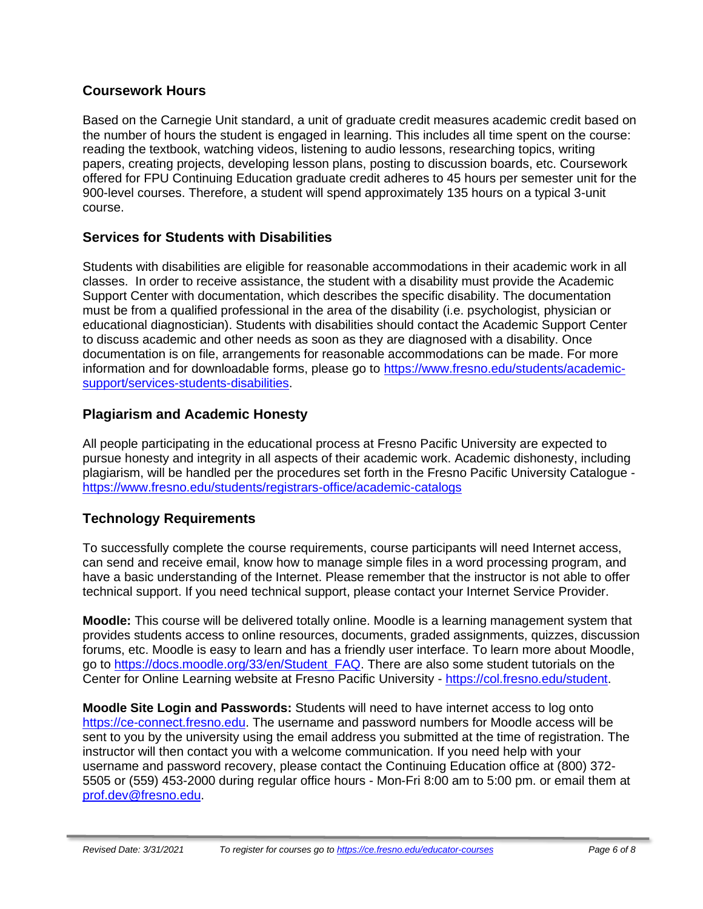## **Coursework Hours**

Based on the Carnegie Unit standard, a unit of graduate credit measures academic credit based on the number of hours the student is engaged in learning. This includes all time spent on the course: reading the textbook, watching videos, listening to audio lessons, researching topics, writing papers, creating projects, developing lesson plans, posting to discussion boards, etc. Coursework offered for FPU Continuing Education graduate credit adheres to 45 hours per semester unit for the 900-level courses. Therefore, a student will spend approximately 135 hours on a typical 3-unit course.

## **Services for Students with Disabilities**

Students with disabilities are eligible for reasonable accommodations in their academic work in all classes. In order to receive assistance, the student with a disability must provide the Academic Support Center with documentation, which describes the specific disability. The documentation must be from a qualified professional in the area of the disability (i.e. psychologist, physician or educational diagnostician). Students with disabilities should contact the Academic Support Center to discuss academic and other needs as soon as they are diagnosed with a disability. Once documentation is on file, arrangements for reasonable accommodations can be made. For more information and for downloadable forms, please go to [https://www.fresno.edu/students/academic](https://www.fresno.edu/students/academic-support/services-students-disabilities)[support/services-students-disabilities.](https://www.fresno.edu/students/academic-support/services-students-disabilities)

## **Plagiarism and Academic Honesty**

All people participating in the educational process at Fresno Pacific University are expected to pursue honesty and integrity in all aspects of their academic work. Academic dishonesty, including plagiarism, will be handled per the procedures set forth in the Fresno Pacific University Catalogue <https://www.fresno.edu/students/registrars-office/academic-catalogs>

# **Technology Requirements**

To successfully complete the course requirements, course participants will need Internet access, can send and receive email, know how to manage simple files in a word processing program, and have a basic understanding of the Internet. Please remember that the instructor is not able to offer technical support. If you need technical support, please contact your Internet Service Provider.

**Moodle:** This course will be delivered totally online. Moodle is a learning management system that provides students access to online resources, documents, graded assignments, quizzes, discussion forums, etc. Moodle is easy to learn and has a friendly user interface. To learn more about Moodle, go to [https://docs.moodle.org/33/en/Student\\_FAQ.](https://docs.moodle.org/33/en/Student_FAQ) There are also some student tutorials on the Center for Online Learning website at Fresno Pacific University - [https://col.fresno.edu/student.](https://col.fresno.edu/student)

**Moodle Site Login and Passwords:** Students will need to have internet access to log onto [https://ce-connect.fresno.edu.](https://ce-connect.fresno.edu/) The username and password numbers for Moodle access will be sent to you by the university using the email address you submitted at the time of registration. The instructor will then contact you with a welcome communication. If you need help with your username and password recovery, please contact the Continuing Education office at (800) 372- 5505 or (559) 453-2000 during regular office hours - Mon-Fri 8:00 am to 5:00 pm. or email them at [prof.dev@fresno.edu.](mailto:prof.dev@fresno.edu)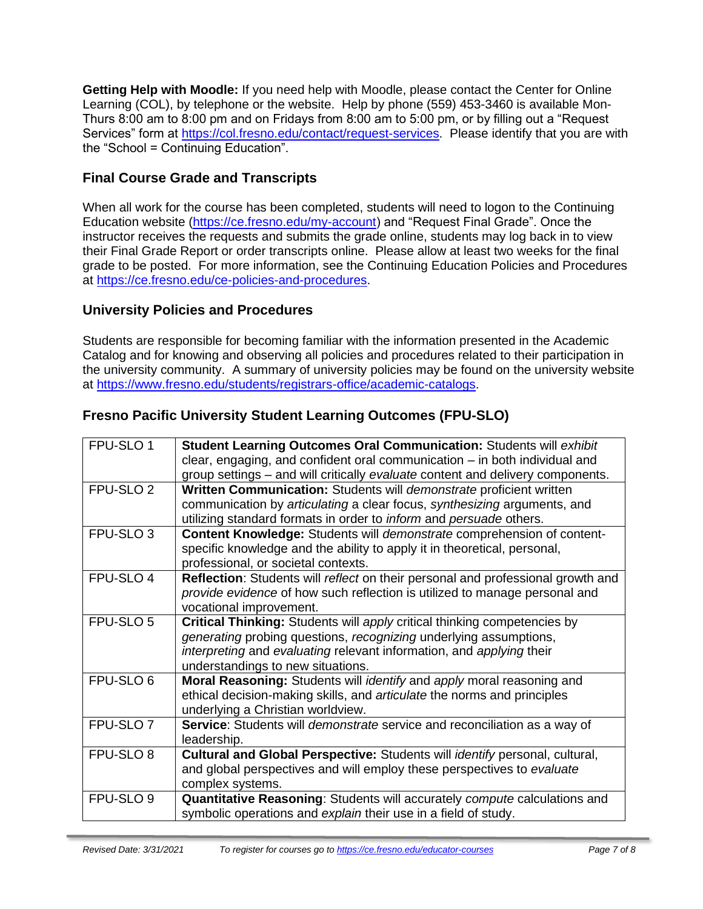**Getting Help with Moodle:** If you need help with Moodle, please contact the Center for Online Learning (COL), by telephone or the website. Help by phone (559) 453-3460 is available Mon-Thurs 8:00 am to 8:00 pm and on Fridays from 8:00 am to 5:00 pm, or by filling out a "Request Services" form at [https://col.fresno.edu/contact/request-services.](https://col.fresno.edu/contact/request-services) Please identify that you are with the "School = Continuing Education".

# **Final Course Grade and Transcripts**

When all work for the course has been completed, students will need to logon to the Continuing Education website [\(https://ce.fresno.edu/my-account\)](https://ce.fresno.edu/my-account) and "Request Final Grade". Once the instructor receives the requests and submits the grade online, students may log back in to view their Final Grade Report or order transcripts online. Please allow at least two weeks for the final grade to be posted. For more information, see the Continuing Education Policies and Procedures at [https://ce.fresno.edu/ce-policies-and-procedures.](https://ce.fresno.edu/ce-policies-and-procedures)

## **University Policies and Procedures**

Students are responsible for becoming familiar with the information presented in the Academic Catalog and for knowing and observing all policies and procedures related to their participation in the university community. A summary of university policies may be found on the university website at [https://www.fresno.edu/students/registrars-office/academic-catalogs.](https://www.fresno.edu/students/registrars-office/academic-catalogs)

# **Fresno Pacific University Student Learning Outcomes (FPU-SLO)**

| FPU-SLO 1            | <b>Student Learning Outcomes Oral Communication: Students will exhibit</b>         |
|----------------------|------------------------------------------------------------------------------------|
|                      | clear, engaging, and confident oral communication – in both individual and         |
|                      | group settings – and will critically evaluate content and delivery components.     |
| FPU-SLO <sub>2</sub> | Written Communication: Students will demonstrate proficient written                |
|                      | communication by articulating a clear focus, synthesizing arguments, and           |
|                      | utilizing standard formats in order to <i>inform</i> and persuade others.          |
| FPU-SLO <sub>3</sub> | <b>Content Knowledge: Students will demonstrate comprehension of content-</b>      |
|                      | specific knowledge and the ability to apply it in theoretical, personal,           |
|                      | professional, or societal contexts.                                                |
| FPU-SLO 4            | Reflection: Students will reflect on their personal and professional growth and    |
|                      | provide evidence of how such reflection is utilized to manage personal and         |
|                      | vocational improvement.                                                            |
| FPU-SLO <sub>5</sub> | Critical Thinking: Students will apply critical thinking competencies by           |
|                      | generating probing questions, recognizing underlying assumptions,                  |
|                      | interpreting and evaluating relevant information, and applying their               |
|                      | understandings to new situations.                                                  |
| FPU-SLO 6            | Moral Reasoning: Students will <i>identify</i> and apply moral reasoning and       |
|                      | ethical decision-making skills, and articulate the norms and principles            |
|                      | underlying a Christian worldview.                                                  |
| FPU-SLO <sub>7</sub> | Service: Students will <i>demonstrate</i> service and reconciliation as a way of   |
|                      | leadership.                                                                        |
| FPU-SLO 8            | Cultural and Global Perspective: Students will <i>identify</i> personal, cultural, |
|                      | and global perspectives and will employ these perspectives to evaluate             |
|                      | complex systems.                                                                   |
| FPU-SLO <sub>9</sub> | Quantitative Reasoning: Students will accurately compute calculations and          |
|                      | symbolic operations and explain their use in a field of study.                     |
|                      |                                                                                    |